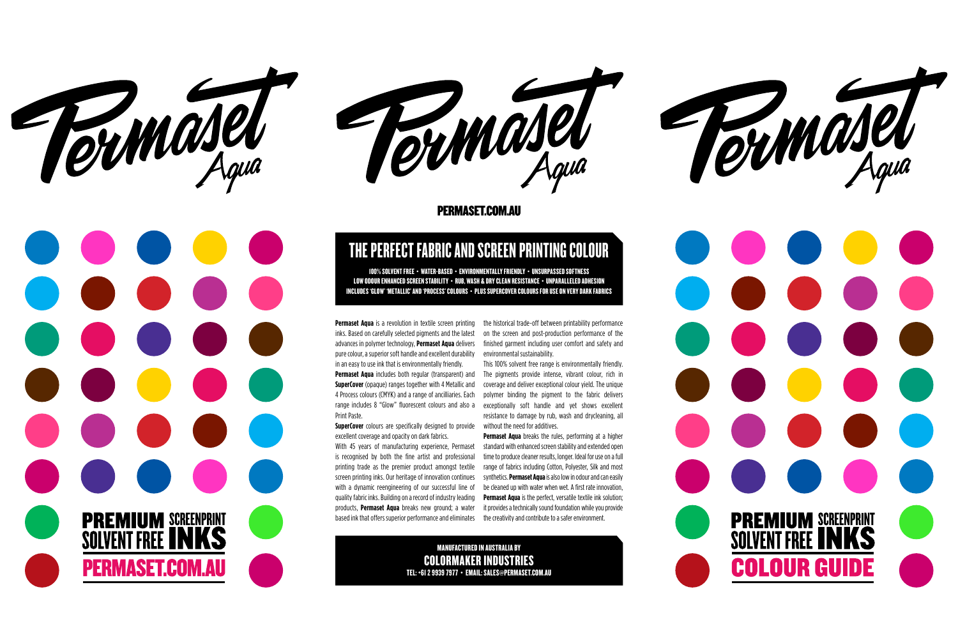

**PREMIUM SCREENPRINT<br>SOLVENT FREE INKS** 

**PERMASET.COM.AU** 



#### **PERMASET.COM.AU**

**Permaset Aqua** is a revolution in textile screen printing inks. Based on carefully selected pigments and the latest advances in polymer technology, **Permaset Aqua** delivers pure colour, a superior soft handle and excellent durability in an easy to use ink that is environmentally friendly. **Permaset Aqua** includes both regular (transparent) and **SuperCover** (opaque) ranges together with 4 Metallic and 4 Process colours (CMYK) and a range of ancilliaries. Each range includes 8 "Glow" fluorescent colours and also a Print Paste.

SuperCover colours are specifically designed to provide without the need for additives. excellent coverage and opacity on dark fabrics.

With 45 years of manufacturing experience, Permaset is recognised by both the fine artist and professional printing trade as the premier product amongst textile screen printing inks. Our heritage of innovation continues with a dynamic reengineering of our successful line of quality fabric inks. Building on a record of industry leading products, **Permaset Aqua** breaks new ground; a water based ink that offers superior performance and eliminates

the historical trade-off between printability performance on the screen and post-production performance of the finished garment including user comfort and safety and environmental sustainability.

This 100% solvent free range is environmentally friendly. The pigments provide intense, vibrant colour, rich in coverage and deliver exceptional colour yield. The unique polymer binding the pigment to the fabric delivers exceptionally soft handle and yet shows excellent resistance to damage by rub, wash and drycleaning, all

**Permaset Aqua** breaks the rules, performing at a higher standard with enhanced screen stability and extended open time to produce cleaner results, longer. Ideal for use on a full range of fabrics including Cotton, Polyester, Silk and most synthetics. **Permaset Aqua** is also low in odour and can easily be cleaned up with water when wet. A first rate innovation, **Permaset Aqua** is the perfect, versatile textile ink solution; it provides a technically sound foundation while you provide the creativity and contribute to a safer environment.

100% SOLVENT FREE • WATER-BASED • ENVIRONMENTALLY FRIENDLY • UNSURPASSED SOFTNESS LOW ODOUR ENHANCED SCREEN STABILITY • RUB, WASH & DRY CLEAN RESISTANCE • UNPARALLELED ADHESION INCLUDES 'GLOW' 'METALLIC' AND 'PROCESS' COLOURS • PLUS SUPERCOVER COLOURS FOR USE ON VERY DARK FABRICS

## THE PERFECT FABRIC AND SCREEN PRINTING COLOUR

manufactured IN AUSTRALIA by COLORMAKER INDUSTRIES TEL: +61 2 9939 7977 • EMAIL: SALES@PERMASET.COM.AU